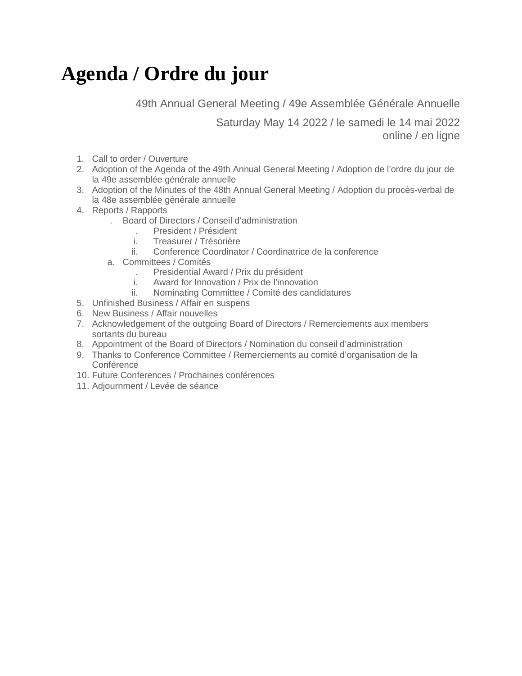## **Agenda / Ordre du jour**

49th Annual General Meeting / 49e Assemblée Générale Annuelle

Saturday May 14 2022 / le samedi le 14 mai 2022 online / en ligne

- 1. Call to order / Ouverture
- 2. Adoption of the Agenda of the 49th Annual General Meeting / Adoption de l'ordre du jour de la 49e assemblée générale annuelle
- 3. Adoption of the Minutes of the 48th Annual General Meeting / Adoption du procès-verbal de la 48e assemblée générale annuelle
- 4. Reports / Rapports
	- . Board of Directors / Conseil d'administration
		- . President / Président
		- i. Treasurer / Trésorière
		- ii. Conference Coordinator / Coordinatrice de la conference
	- a. Committees / Comités
		- . Presidential Award / Prix du président
		- i. Award for Innovation / Prix de l'innovation
		- ii. Nominating Committee / Comité des candidatures
- 5. Unfinished Business / Affair en suspens
- 6. New Business / Affair nouvelles
- 7. Acknowledgement of the outgoing Board of Directors / Remerciements aux members sortants du bureau
- 8. Appointment of the Board of Directors / Nomination du conseil d'administration
- 9. Thanks to Conference Committee / Remerciements au comité d'organisation de la **Conférence**
- 10. Future Conferences / Prochaines conférences
- 11. Adjournment / Levée de séance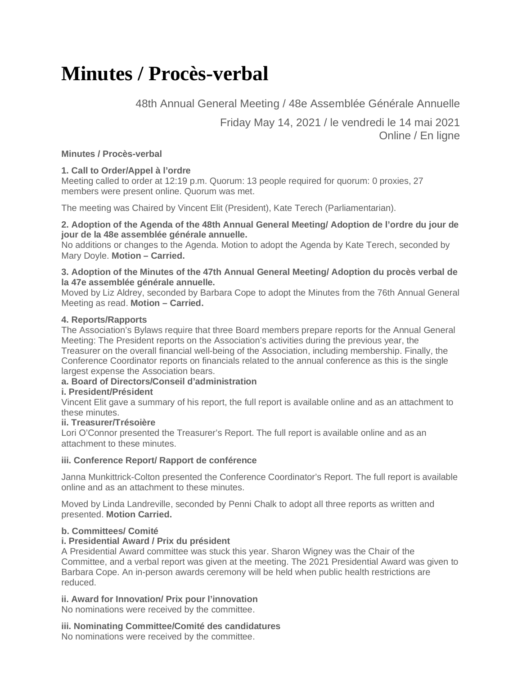## **Minutes / Procès-verbal**

48th Annual General Meeting / 48e Assemblée Générale Annuelle

Friday May 14, 2021 / le vendredi le 14 mai 2021 Online / En ligne

### **Minutes / Procès-verbal**

## **1. Call to Order/Appel à l'ordre**

Meeting called to order at 12:19 p.m. Quorum: 13 people required for quorum: 0 proxies, 27 members were present online. Quorum was met.

The meeting was Chaired by Vincent Elit (President), Kate Terech (Parliamentarian).

#### **2. Adoption of the Agenda of the 48th Annual General Meeting/ Adoption de l'ordre du jour de jour de la 48e assemblée générale annuelle.**

No additions or changes to the Agenda. Motion to adopt the Agenda by Kate Terech, seconded by Mary Doyle. **Motion – Carried.**

#### **3. Adoption of the Minutes of the 47th Annual General Meeting/ Adoption du procès verbal de la 47e assemblée générale annuelle.**

Moved by Liz Aldrey, seconded by Barbara Cope to adopt the Minutes from the 76th Annual General Meeting as read. **Motion – Carried.**

### **4. Reports/Rapports**

The Association's Bylaws require that three Board members prepare reports for the Annual General Meeting: The President reports on the Association's activities during the previous year, the Treasurer on the overall financial well-being of the Association, including membership. Finally, the Conference Coordinator reports on financials related to the annual conference as this is the single largest expense the Association bears.

## **a. Board of Directors/Conseil d'administration**

#### **i. President/Président**

Vincent Elit gave a summary of his report, the full report is available online and as an attachment to these minutes.

#### **ii. Treasurer/Trésoière**

Lori O'Connor presented the Treasurer's Report. The full report is available online and as an attachment to these minutes.

#### **iii. Conference Report/ Rapport de conférence**

Janna Munkittrick-Colton presented the Conference Coordinator's Report. The full report is available online and as an attachment to these minutes.

Moved by Linda Landreville, seconded by Penni Chalk to adopt all three reports as written and presented. **Motion Carried.**

#### **b. Committees/ Comité**

#### **i. Presidential Award / Prix du président**

A Presidential Award committee was stuck this year. Sharon Wigney was the Chair of the Committee, and a verbal report was given at the meeting. The 2021 Presidential Award was given to Barbara Cope. An in-person awards ceremony will be held when public health restrictions are reduced.

#### **ii. Award for Innovation/ Prix pour l'innovation**

No nominations were received by the committee.

## **iii. Nominating Committee/Comité des candidatures**

No nominations were received by the committee.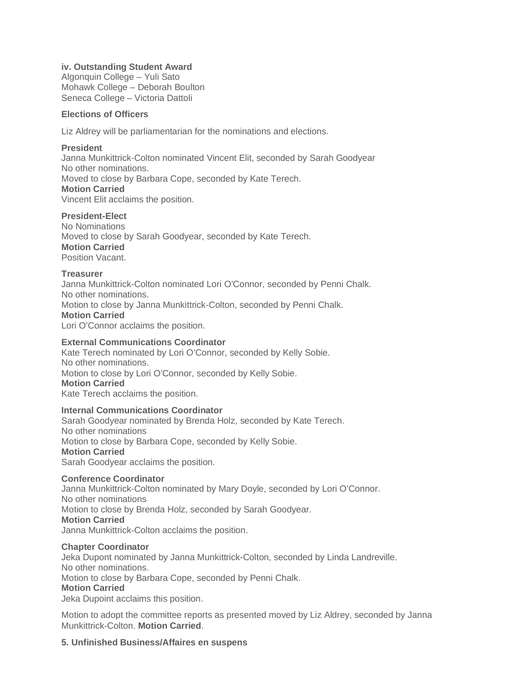#### **iv. Outstanding Student Award**

Algonquin College – Yuli Sato Mohawk College – Deborah Boulton Seneca College – Victoria Dattoli

#### **Elections of Officers**

Liz Aldrey will be parliamentarian for the nominations and elections.

#### **President**

Janna Munkittrick-Colton nominated Vincent Elit, seconded by Sarah Goodyear No other nominations. Moved to close by Barbara Cope, seconded by Kate Terech. **Motion Carried** Vincent Elit acclaims the position.

#### **President-Elect**

No Nominations Moved to close by Sarah Goodyear, seconded by Kate Terech. **Motion Carried** Position Vacant.

#### **Treasurer**

Janna Munkittrick-Colton nominated Lori O'Connor, seconded by Penni Chalk. No other nominations. Motion to close by Janna Munkittrick-Colton, seconded by Penni Chalk. **Motion Carried** Lori O'Connor acclaims the position.

#### **External Communications Coordinator**

Kate Terech nominated by Lori O'Connor, seconded by Kelly Sobie. No other nominations. Motion to close by Lori O'Connor, seconded by Kelly Sobie. **Motion Carried** Kate Terech acclaims the position.

#### **Internal Communications Coordinator**

Sarah Goodyear nominated by Brenda Holz, seconded by Kate Terech. No other nominations Motion to close by Barbara Cope, seconded by Kelly Sobie. **Motion Carried** Sarah Goodyear acclaims the position.

#### **Conference Coordinator**

Janna Munkittrick-Colton nominated by Mary Doyle, seconded by Lori O'Connor. No other nominations Motion to close by Brenda Holz, seconded by Sarah Goodyear. **Motion Carried** Janna Munkittrick-Colton acclaims the position.

#### **Chapter Coordinator**

Jeka Dupont nominated by Janna Munkittrick-Colton, seconded by Linda Landreville. No other nominations. Motion to close by Barbara Cope, seconded by Penni Chalk.

#### **Motion Carried**

Jeka Dupoint acclaims this position.

Motion to adopt the committee reports as presented moved by Liz Aldrey, seconded by Janna Munkittrick-Colton. **Motion Carried**.

#### **5. Unfinished Business/Affaires en suspens**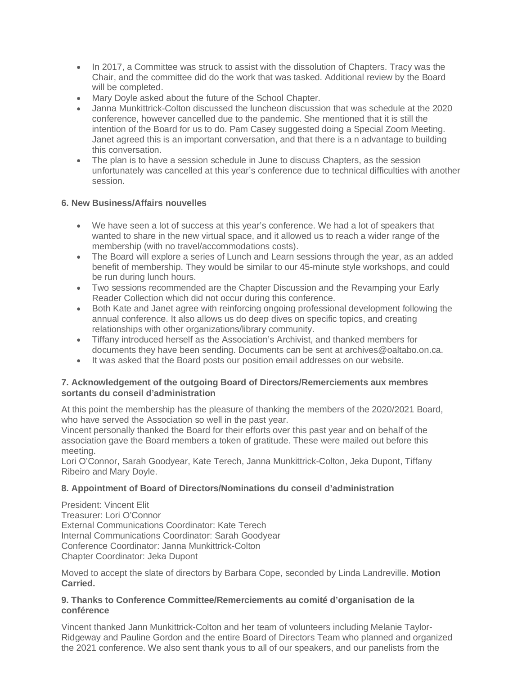- In 2017, a Committee was struck to assist with the dissolution of Chapters. Tracy was the Chair, and the committee did do the work that was tasked. Additional review by the Board will be completed.
- Mary Doyle asked about the future of the School Chapter.
- Janna Munkittrick-Colton discussed the luncheon discussion that was schedule at the 2020 conference, however cancelled due to the pandemic. She mentioned that it is still the intention of the Board for us to do. Pam Casey suggested doing a Special Zoom Meeting. Janet agreed this is an important conversation, and that there is a n advantage to building this conversation.
- The plan is to have a session schedule in June to discuss Chapters, as the session unfortunately was cancelled at this year's conference due to technical difficulties with another session.

## **6. New Business/Affairs nouvelles**

- We have seen a lot of success at this year's conference. We had a lot of speakers that wanted to share in the new virtual space, and it allowed us to reach a wider range of the membership (with no travel/accommodations costs).
- The Board will explore a series of Lunch and Learn sessions through the year, as an added benefit of membership. They would be similar to our 45-minute style workshops, and could be run during lunch hours.
- Two sessions recommended are the Chapter Discussion and the Revamping your Early Reader Collection which did not occur during this conference.
- Both Kate and Janet agree with reinforcing ongoing professional development following the annual conference. It also allows us do deep dives on specific topics, and creating relationships with other organizations/library community.
- Tiffany introduced herself as the Association's Archivist, and thanked members for documents they have been sending. Documents can be sent at archives@oaltabo.on.ca.
- It was asked that the Board posts our position email addresses on our website.

## **7. Acknowledgement of the outgoing Board of Directors/Remerciements aux membres sortants du conseil d'administration**

At this point the membership has the pleasure of thanking the members of the 2020/2021 Board, who have served the Association so well in the past year.

Vincent personally thanked the Board for their efforts over this past year and on behalf of the association gave the Board members a token of gratitude. These were mailed out before this meeting.

Lori O'Connor, Sarah Goodyear, Kate Terech, Janna Munkittrick-Colton, Jeka Dupont, Tiffany Ribeiro and Mary Doyle.

## **8. Appointment of Board of Directors/Nominations du conseil d'administration**

President: Vincent Elit Treasurer: Lori O'Connor External Communications Coordinator: Kate Terech Internal Communications Coordinator: Sarah Goodyear Conference Coordinator: Janna Munkittrick-Colton Chapter Coordinator: Jeka Dupont

Moved to accept the slate of directors by Barbara Cope, seconded by Linda Landreville. **Motion Carried.**

### **9. Thanks to Conference Committee/Remerciements au comité d'organisation de la conférence**

Vincent thanked Jann Munkittrick-Colton and her team of volunteers including Melanie Taylor-Ridgeway and Pauline Gordon and the entire Board of Directors Team who planned and organized the 2021 conference. We also sent thank yous to all of our speakers, and our panelists from the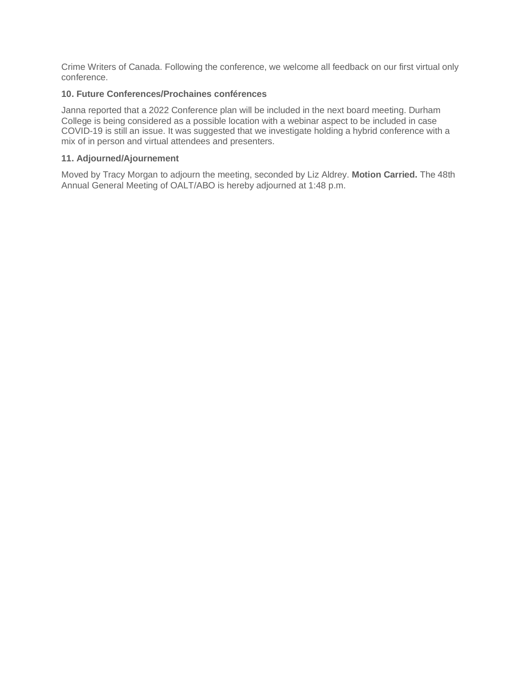Crime Writers of Canada. Following the conference, we welcome all feedback on our first virtual only conference.

### **10. Future Conferences/Prochaines conférences**

Janna reported that a 2022 Conference plan will be included in the next board meeting. Durham College is being considered as a possible location with a webinar aspect to be included in case COVID-19 is still an issue. It was suggested that we investigate holding a hybrid conference with a mix of in person and virtual attendees and presenters.

#### **11. Adjourned/Ajournement**

Moved by Tracy Morgan to adjourn the meeting, seconded by Liz Aldrey. **Motion Carried.** The 48th Annual General Meeting of OALT/ABO is hereby adjourned at 1:48 p.m.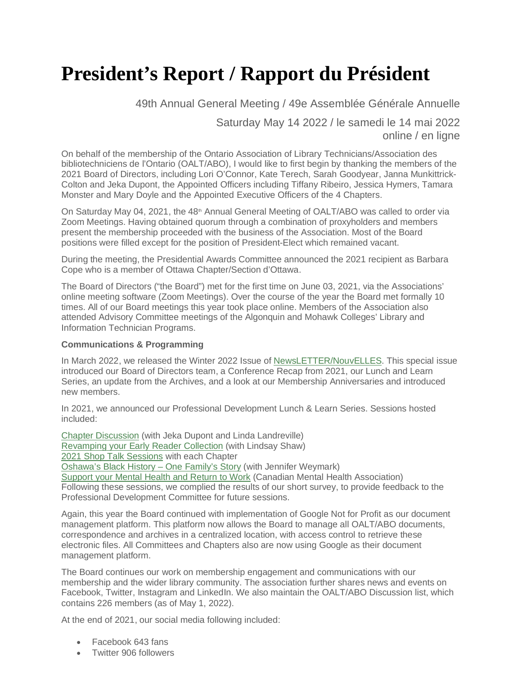# **President's Report / Rapport du Président**

49th Annual General Meeting / 49e Assemblée Générale Annuelle

Saturday May 14 2022 / le samedi le 14 mai 2022 online / en ligne

On behalf of the membership of the Ontario Association of Library Technicians/Association des bibliotechniciens de l'Ontario (OALT/ABO), I would like to first begin by thanking the members of the 2021 Board of Directors, including Lori O'Connor, Kate Terech, Sarah Goodyear, Janna Munkittrick-Colton and Jeka Dupont, the Appointed Officers including Tiffany Ribeiro, Jessica Hymers, Tamara Monster and Mary Doyle and the Appointed Executive Officers of the 4 Chapters.

On Saturday May 04, 2021, the  $48<sup>th</sup>$  Annual General Meeting of OALT/ABO was called to order via Zoom Meetings. Having obtained quorum through a combination of proxyholders and members present the membership proceeded with the business of the Association. Most of the Board positions were filled except for the position of President-Elect which remained vacant.

During the meeting, the Presidential Awards Committee announced the 2021 recipient as Barbara Cope who is a member of Ottawa Chapter/Section d'Ottawa.

The Board of Directors ("the Board") met for the first time on June 03, 2021, via the Associations' online meeting software (Zoom Meetings). Over the course of the year the Board met formally 10 times. All of our Board meetings this year took place online. Members of the Association also attended Advisory Committee meetings of the Algonquin and Mohawk Colleges' Library and Information Technician Programs.

#### **Communications & Programming**

In March 2022, we released the Winter 2022 Issue of [NewsLETTER/NouvELLES.](https://oaltabo.on.ca/wp-content/uploads/newsletter/2022-Winter.pdf) This special issue introduced our Board of Directors team, a Conference Recap from 2021, our Lunch and Learn Series, an update from the Archives, and a look at our Membership Anniversaries and introduced new members.

In 2021, we announced our Professional Development Lunch & Learn Series. Sessions hosted included:

[Chapter Discussion](https://oaltabo.on.ca/2021-lunch-and-learn-june/) (with Jeka Dupont and Linda Landreville) [Revamping your Early Reader Collection](https://oaltabo.on.ca/lunch-learn-revamping-your-early-reader-collection/) (with Lindsay Shaw) [2021 Shop Talk Sessions](https://oaltabo.on.ca/2021-shop-talks/) with each Chapter [Oshawa's Black History – One Family's Story](https://oaltabo.on.ca/lunch-and-learn-oshawa/) (with Jennifer Weymark) [Support your Mental Health and Return to Work](https://oaltabo.on.ca/lunch-and-learn-march22/) (Canadian Mental Health Association) Following these sessions, we complied the results of our short survey, to provide feedback to the Professional Development Committee for future sessions.

Again, this year the Board continued with implementation of Google Not for Profit as our document management platform. This platform now allows the Board to manage all OALT/ABO documents, correspondence and archives in a centralized location, with access control to retrieve these electronic files. All Committees and Chapters also are now using Google as their document management platform.

The Board continues our work on membership engagement and communications with our membership and the wider library community. The association further shares news and events on Facebook, Twitter, Instagram and LinkedIn. We also maintain the OALT/ABO Discussion list, which contains 226 members (as of May 1, 2022).

At the end of 2021, our social media following included:

- Facebook 643 fans
- Twitter 906 followers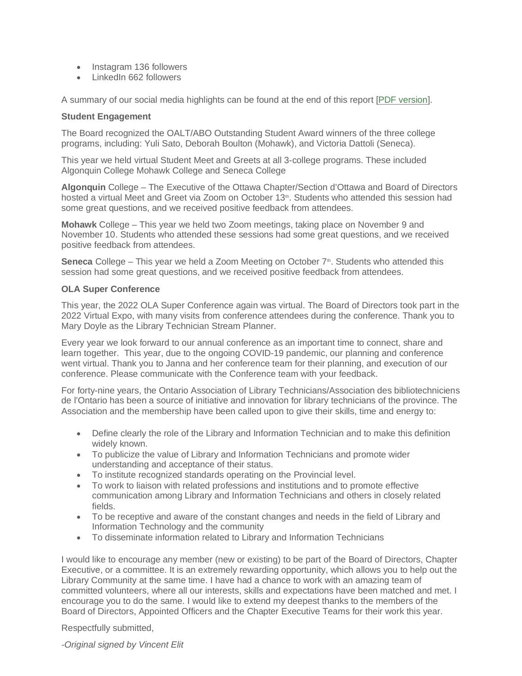- Instagram 136 followers
- LinkedIn 662 followers

A summary of our social media highlights can be found at the end of this report [\[PDF version\]](https://oaltabo.on.ca/wp-content/uploads/AGM/2022/2022-AGM-Socialmedia.pdf).

#### **Student Engagement**

The Board recognized the OALT/ABO Outstanding Student Award winners of the three college programs, including: Yuli Sato, Deborah Boulton (Mohawk), and Victoria Dattoli (Seneca).

This year we held virtual Student Meet and Greets at all 3-college programs. These included Algonquin College Mohawk College and Seneca College

**Algonquin** College – The Executive of the Ottawa Chapter/Section d'Ottawa and Board of Directors hosted a virtual Meet and Greet via Zoom on October 13<sup>th</sup>. Students who attended this session had some great questions, and we received positive feedback from attendees.

**Mohawk** College – This year we held two Zoom meetings, taking place on November 9 and November 10. Students who attended these sessions had some great questions, and we received positive feedback from attendees.

**Seneca** College – This year we held a Zoom Meeting on October 7<sup>th</sup>. Students who attended this session had some great questions, and we received positive feedback from attendees.

#### **OLA Super Conference**

This year, the 2022 OLA Super Conference again was virtual. The Board of Directors took part in the 2022 Virtual Expo, with many visits from conference attendees during the conference. Thank you to Mary Doyle as the Library Technician Stream Planner.

Every year we look forward to our annual conference as an important time to connect, share and learn together. This year, due to the ongoing COVID-19 pandemic, our planning and conference went virtual. Thank you to Janna and her conference team for their planning, and execution of our conference. Please communicate with the Conference team with your feedback.

For forty-nine years, the Ontario Association of Library Technicians/Association des bibliotechniciens de l'Ontario has been a source of initiative and innovation for library technicians of the province. The Association and the membership have been called upon to give their skills, time and energy to:

- Define clearly the role of the Library and Information Technician and to make this definition widely known.
- To publicize the value of Library and Information Technicians and promote wider understanding and acceptance of their status.
- To institute recognized standards operating on the Provincial level.
- To work to liaison with related professions and institutions and to promote effective communication among Library and Information Technicians and others in closely related fields.
- To be receptive and aware of the constant changes and needs in the field of Library and Information Technology and the community
- To disseminate information related to Library and Information Technicians

I would like to encourage any member (new or existing) to be part of the Board of Directors, Chapter Executive, or a committee. It is an extremely rewarding opportunity, which allows you to help out the Library Community at the same time. I have had a chance to work with an amazing team of committed volunteers, where all our interests, skills and expectations have been matched and met. I encourage you to do the same. I would like to extend my deepest thanks to the members of the Board of Directors, Appointed Officers and the Chapter Executive Teams for their work this year.

Respectfully submitted,

*-Original signed by Vincent Elit*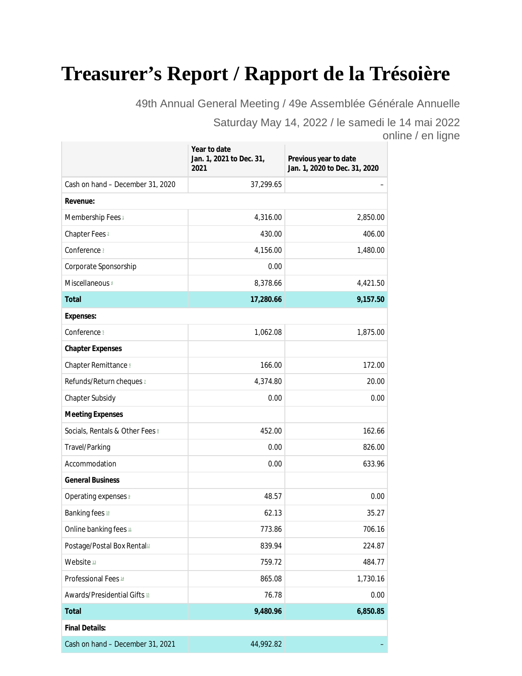# **Treasurer's Report / Rapport de la Trésoière**

49th Annual General Meeting / 49e Assemblée Générale Annuelle

Saturday May 14, 2022 / le samedi le 14 mai 2022 online / en ligne

|                                         | Year to date<br>Jan. 1, 2021 to Dec. 31,<br>2021 | Previous year to date<br>Jan. 1, 2020 to Dec. 31, 2020 |  |  |
|-----------------------------------------|--------------------------------------------------|--------------------------------------------------------|--|--|
| Cash on hand - December 31, 2020        | 37,299.65                                        |                                                        |  |  |
| Revenue:                                |                                                  |                                                        |  |  |
| Membership Fees 1                       | 4,316.00                                         | 2,850.00                                               |  |  |
| Chapter Fees <sup>2</sup>               | 430.00                                           | 406.00                                                 |  |  |
| Conference <sup>3</sup>                 | 4,156.00                                         | 1,480.00                                               |  |  |
| Corporate Sponsorship                   | 0.00                                             |                                                        |  |  |
| Miscellaneous 4                         | 8,378.66                                         | 4,421.50                                               |  |  |
| Total                                   | 17,280.66                                        | 9,157.50                                               |  |  |
| Expenses:                               |                                                  |                                                        |  |  |
| Conference 5                            | 1,062.08                                         | 1,875.00                                               |  |  |
| <b>Chapter Expenses</b>                 |                                                  |                                                        |  |  |
| Chapter Remittance 6                    | 166.00                                           | 172.00                                                 |  |  |
| Refunds/Return cheques 2                | 4,374.80                                         | 20.00                                                  |  |  |
| <b>Chapter Subsidy</b>                  | 0.00                                             | 0.00                                                   |  |  |
| <b>Meeting Expenses</b>                 |                                                  |                                                        |  |  |
| Socials, Rentals & Other Fees &         | 452.00                                           | 162.66                                                 |  |  |
| Travel/Parking                          | 0.00                                             | 826.00                                                 |  |  |
| Accommodation                           | 0.00                                             | 633.96                                                 |  |  |
| <b>General Business</b>                 |                                                  |                                                        |  |  |
| Operating expenses <sup>2</sup>         | 48.57                                            | 0.00                                                   |  |  |
| Banking fees 10                         | 62.13                                            | 35.27                                                  |  |  |
| Online banking fees $\mathfrak{u}$      | 773.86                                           | 706.16                                                 |  |  |
| Postage/Postal Box Rental <sup>12</sup> | 839.94                                           | 224.87                                                 |  |  |
| Website 13                              | 759.72                                           | 484.77                                                 |  |  |
| Professional Fees <sup>14</sup>         | 865.08                                           | 1,730.16                                               |  |  |
| Awards/Presidential Gifts 15            | 76.78                                            | 0.00                                                   |  |  |
| Total                                   | 9,480.96                                         | 6,850.85                                               |  |  |
| <b>Final Details:</b>                   |                                                  |                                                        |  |  |
| Cash on hand - December 31, 2021        | 44,992.82                                        |                                                        |  |  |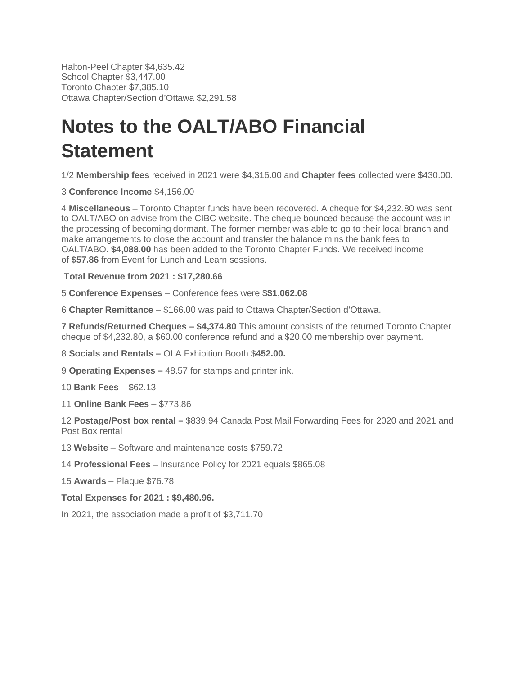Halton-Peel Chapter \$4,635.42 School Chapter \$3,447.00 Toronto Chapter \$7,385.10 Ottawa Chapter/Section d'Ottawa \$2,291.58

# **Notes to the OALT/ABO Financial Statement**

1/2 **Membership fees** received in 2021 were \$4,316.00 and **Chapter fees** collected were \$430.00.

3 **Conference Income** \$4,156.00

4 **Miscellaneous** – Toronto Chapter funds have been recovered. A cheque for \$4,232.80 was sent to OALT/ABO on advise from the CIBC website. The cheque bounced because the account was in the processing of becoming dormant. The former member was able to go to their local branch and make arrangements to close the account and transfer the balance mins the bank fees to OALT/ABO. **\$4,088.00** has been added to the Toronto Chapter Funds. We received income of **\$57.86** from Event for Lunch and Learn sessions.

 **Total Revenue from 2021 : \$17,280.66**

5 **Conference Expenses** – Conference fees were \$**\$1,062.08**

6 **Chapter Remittance** – \$166.00 was paid to Ottawa Chapter/Section d'Ottawa.

**7 Refunds/Returned Cheques – \$4,374.80** This amount consists of the returned Toronto Chapter cheque of \$4,232.80, a \$60.00 conference refund and a \$20.00 membership over payment.

8 **Socials and Rentals –** OLA Exhibition Booth \$**452.00.**

9 **Operating Expenses –** 48.57 for stamps and printer ink.

10 **Bank Fees** – \$62.13

11 **Online Bank Fees** – \$773.86

12 **Postage/Post box rental –** \$839.94 Canada Post Mail Forwarding Fees for 2020 and 2021 and Post Box rental

13 **Website** – Software and maintenance costs \$759.72

14 **Professional Fees** – Insurance Policy for 2021 equals \$865.08

15 **Awards** – Plaque \$76.78

**Total Expenses for 2021 : \$9,480.96.**

In 2021, the association made a profit of \$3,711.70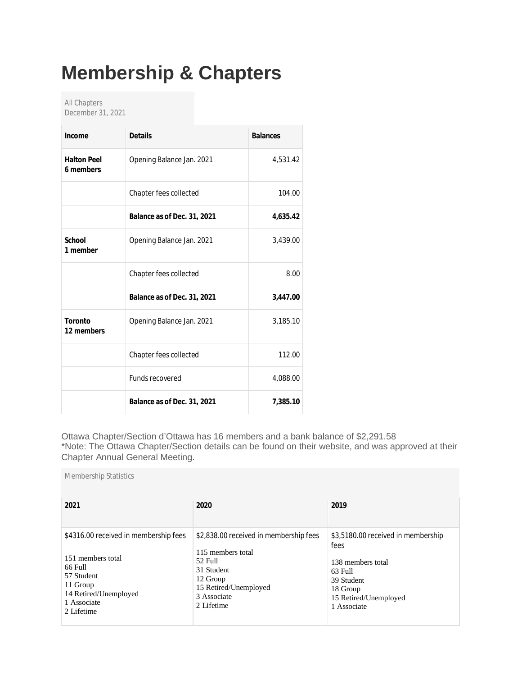# **Membership & Chapters**

All Chapters December 31, 2021

Membership Statistics

| Income                          | <b>Details</b>              | <b>Balances</b> |
|---------------------------------|-----------------------------|-----------------|
| <b>Halton Peel</b><br>6 members | Opening Balance Jan. 2021   | 4,531.42        |
|                                 | Chapter fees collected      | 104.00          |
|                                 | Balance as of Dec. 31, 2021 | 4,635.42        |
| School<br>1 member              | Opening Balance Jan. 2021   | 3,439.00        |
|                                 | Chapter fees collected      | 8.00            |
|                                 | Balance as of Dec. 31, 2021 | 3,447.00        |
| Toronto<br>12 members           | Opening Balance Jan. 2021   | 3,185.10        |
|                                 | Chapter fees collected      | 112.00          |
|                                 | <b>Funds recovered</b>      | 4,088.00        |
|                                 | Balance as of Dec. 31, 2021 | 7,385.10        |

Ottawa Chapter/Section d'Ottawa has 16 members and a bank balance of \$2,291.58 \*Note: The Ottawa Chapter/Section details can be found on their website, and was approved at their Chapter Annual General Meeting.

| 2021                                  | 2020                                   | 2019                               |
|---------------------------------------|----------------------------------------|------------------------------------|
| \$4316.00 received in membership fees | \$2,838.00 received in membership fees | \$3,5180.00 received in membership |
| 151 members total                     | 115 members total                      | fees                               |
| 66 Full                               | 52 Full                                | 138 members total                  |
| 57 Student                            | 31 Student                             | 63 Full                            |
| 11 Group                              | 12 Group                               | 39 Student                         |
| 14 Retired/Unemployed                 | 15 Retired/Unemployed                  | 18 Group                           |
| 1 Associate                           | 3 Associate                            | 15 Retired/Unemployed              |
| 2 Lifetime                            | 2 Lifetime                             | 1 Associate                        |